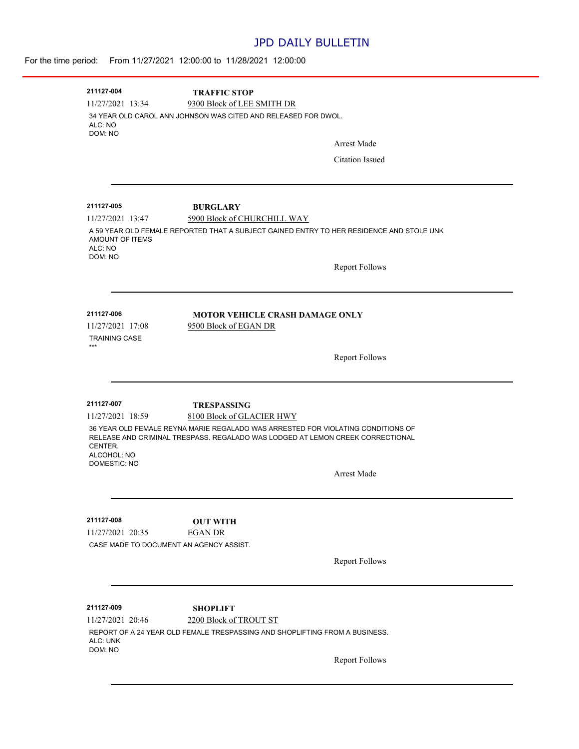## JPD DAILY BULLETIN

|                                                                                                                                                                                                                     | For the time period: From 11/27/2021 12:00:00 to 11/28/2021 12:00:00                                                                       |                        |  |
|---------------------------------------------------------------------------------------------------------------------------------------------------------------------------------------------------------------------|--------------------------------------------------------------------------------------------------------------------------------------------|------------------------|--|
| 211127-004<br>11/27/2021 13:34<br>ALC: NO<br>DOM: NO                                                                                                                                                                | <b>TRAFFIC STOP</b><br>9300 Block of LEE SMITH DR<br>34 YEAR OLD CAROL ANN JOHNSON WAS CITED AND RELEASED FOR DWOL.                        | <b>Arrest Made</b>     |  |
|                                                                                                                                                                                                                     |                                                                                                                                            | <b>Citation Issued</b> |  |
| 211127-005<br>11/27/2021 13:47<br>AMOUNT OF ITEMS                                                                                                                                                                   | <b>BURGLARY</b><br>5900 Block of CHURCHILL WAY<br>A 59 YEAR OLD FEMALE REPORTED THAT A SUBJECT GAINED ENTRY TO HER RESIDENCE AND STOLE UNK |                        |  |
| ALC: NO<br>DOM: NO                                                                                                                                                                                                  |                                                                                                                                            | <b>Report Follows</b>  |  |
| 211127-006<br>11/27/2021 17:08<br><b>TRAINING CASE</b><br>***                                                                                                                                                       | <b>MOTOR VEHICLE CRASH DAMAGE ONLY</b><br>9500 Block of EGAN DR                                                                            |                        |  |
|                                                                                                                                                                                                                     |                                                                                                                                            | <b>Report Follows</b>  |  |
| 211127-007<br>11/27/2021 18:59                                                                                                                                                                                      | <b>TRESPASSING</b><br>8100 Block of GLACIER HWY                                                                                            |                        |  |
| 36 YEAR OLD FEMALE REYNA MARIE REGALADO WAS ARRESTED FOR VIOLATING CONDITIONS OF<br>RELEASE AND CRIMINAL TRESPASS, REGALADO WAS LODGED AT LEMON CREEK CORRECTIONAL<br>CENTER.<br>ALCOHOL: NO<br><b>DOMESTIC: NO</b> |                                                                                                                                            |                        |  |
|                                                                                                                                                                                                                     |                                                                                                                                            | Arrest Made            |  |
| 211127-008<br>11/27/2021 20:35                                                                                                                                                                                      | <b>OUT WITH</b><br><b>EGAN DR</b><br>CASE MADE TO DOCUMENT AN AGENCY ASSIST.                                                               |                        |  |
|                                                                                                                                                                                                                     |                                                                                                                                            | <b>Report Follows</b>  |  |
| 211127-009                                                                                                                                                                                                          | <b>SHOPLIFT</b>                                                                                                                            |                        |  |
| 11/27/2021 20:46<br>ALC: UNK<br>DOM: NO                                                                                                                                                                             | 2200 Block of TROUT ST<br>REPORT OF A 24 YEAR OLD FEMALE TRESPASSING AND SHOPLIFTING FROM A BUSINESS.                                      |                        |  |
|                                                                                                                                                                                                                     |                                                                                                                                            | <b>Report Follows</b>  |  |